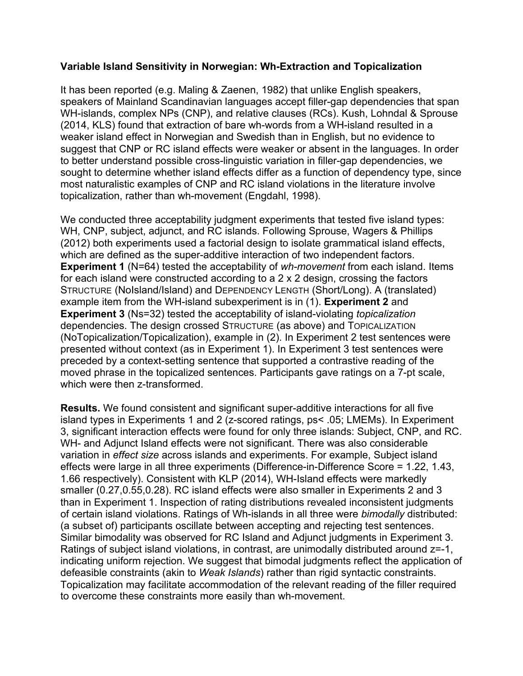## **Variable Island Sensitivity in Norwegian: Wh-Extraction and Topicalization**

It has been reported (e.g. Maling & Zaenen, 1982) that unlike English speakers, speakers of Mainland Scandinavian languages accept filler-gap dependencies that span WH-islands, complex NPs (CNP), and relative clauses (RCs). Kush, Lohndal & Sprouse (2014, KLS) found that extraction of bare wh-words from a WH-island resulted in a weaker island effect in Norwegian and Swedish than in English, but no evidence to suggest that CNP or RC island effects were weaker or absent in the languages. In order to better understand possible cross-linguistic variation in filler-gap dependencies, we sought to determine whether island effects differ as a function of dependency type, since most naturalistic examples of CNP and RC island violations in the literature involve topicalization, rather than wh-movement (Engdahl, 1998).

We conducted three acceptability judgment experiments that tested five island types: WH, CNP, subject, adjunct, and RC islands. Following Sprouse, Wagers & Phillips (2012) both experiments used a factorial design to isolate grammatical island effects, which are defined as the super-additive interaction of two independent factors. **Experiment 1** (N=64) tested the acceptability of *wh-movement* from each island. Items for each island were constructed according to a 2 x 2 design, crossing the factors STRUCTURE (NoIsland/Island) and DEPENDENCY LENGTH (Short/Long). A (translated) example item from the WH-island subexperiment is in (1). **Experiment 2** and **Experiment 3** (Ns=32) tested the acceptability of island-violating *topicalization* dependencies. The design crossed STRUCTURE (as above) and TOPICALIZATION (NoTopicalization/Topicalization), example in (2). In Experiment 2 test sentences were presented without context (as in Experiment 1). In Experiment 3 test sentences were preceded by a context-setting sentence that supported a contrastive reading of the moved phrase in the topicalized sentences. Participants gave ratings on a 7-pt scale, which were then z-transformed.

**Results.** We found consistent and significant super-additive interactions for all five island types in Experiments 1 and 2 (z-scored ratings, ps< .05; LMEMs). In Experiment 3, significant interaction effects were found for only three islands: Subject, CNP, and RC. WH- and Adjunct Island effects were not significant. There was also considerable variation in *effect size* across islands and experiments. For example, Subject island effects were large in all three experiments (Difference-in-Difference Score = 1.22, 1.43, 1.66 respectively). Consistent with KLP (2014), WH-Island effects were markedly smaller (0.27,0.55,0.28). RC island effects were also smaller in Experiments 2 and 3 than in Experiment 1. Inspection of rating distributions revealed inconsistent judgments of certain island violations. Ratings of Wh-islands in all three were *bimodally* distributed: (a subset of) participants oscillate between accepting and rejecting test sentences. Similar bimodality was observed for RC Island and Adjunct judgments in Experiment 3. Ratings of subject island violations, in contrast, are unimodally distributed around z=-1, indicating uniform rejection. We suggest that bimodal judgments reflect the application of defeasible constraints (akin to *Weak Islands*) rather than rigid syntactic constraints. Topicalization may facilitate accommodation of the relevant reading of the filler required to overcome these constraints more easily than wh-movement.